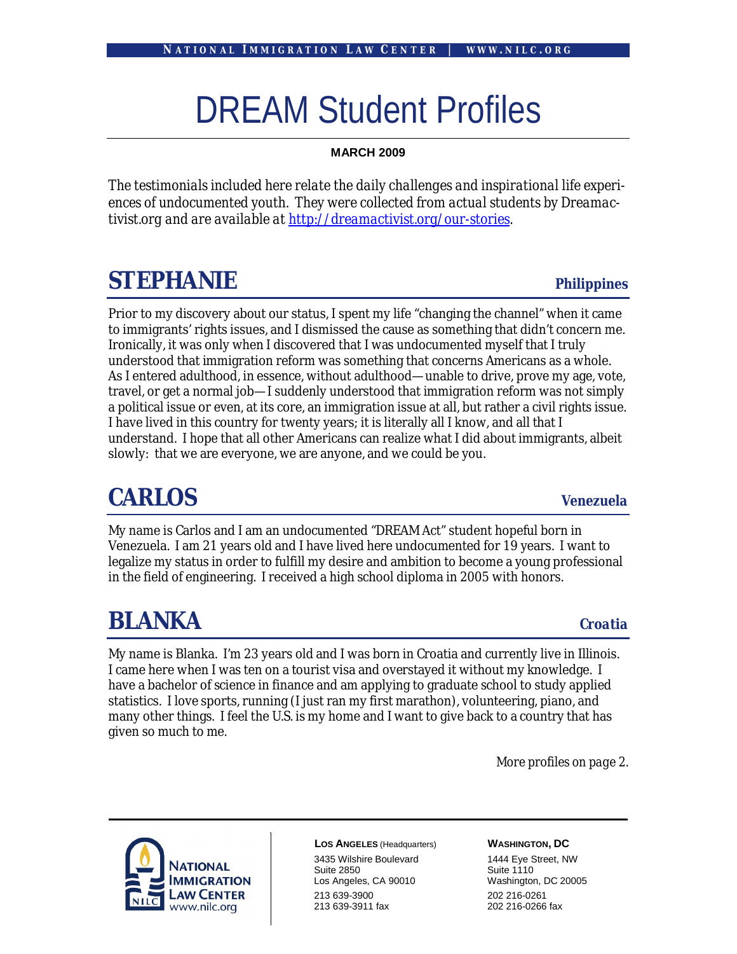# DREAM Student Profiles

### **MARCH 2009**

*The testimonials included here relate the daily challenges and inspirational life experiences of undocumented youth. They were collected from actual students by Dreamactivist.org and are available at http://dreamactivist.org/our-stories.*

### **STEPHANIE** *Philippines*

Prior to my discovery about our status, I spent my life "changing the channel" when it came to immigrants' rights issues, and I dismissed the cause as something that didn't concern me. Ironically, it was only when I discovered that I was undocumented myself that I truly understood that immigration reform was something that concerns Americans as a whole. As I entered adulthood, in essence, without adulthood—unable to drive, prove my age, vote, travel, or get a normal job—I suddenly understood that immigration reform was not simply a political issue or even, at its core, an immigration issue at all, but rather a civil rights issue. I have lived in this country for twenty years; it is literally all I know, and all that I understand. I hope that all other Americans can realize what I did about immigrants, albeit slowly: that we are everyone, we are anyone, and we could be you.

### **CARLOS** *Venezuela*

My name is Carlos and I am an undocumented "DREAM Act" student hopeful born in Venezuela. I am 21 years old and I have lived here undocumented for 19 years. I want to legalize my status in order to fulfill my desire and ambition to become a young professional in the field of engineering. I received a high school diploma in 2005 with honors.

### **BLANKA** *Croatia*

My name is Blanka. I'm 23 years old and I was born in Croatia and currently live in Illinois. I came here when I was ten on a tourist visa and overstayed it without my knowledge. I have a bachelor of science in finance and am applying to graduate school to study applied statistics. I love sports, running (I just ran my first marathon), volunteering, piano, and many other things. I feel the U.S. is my home and I want to give back to a country that has given so much to me.

*More profiles on page 2.*



**LOS ANGELES** (Headquarters) 3435 Wilshire Boulevard Suite 2850 Los Angeles, CA 90010 213 639-3900 213 639-3911 fax

### **WASHINGTON, DC**

1444 Eye Street, NW Suite 1110 Washington, DC 20005 202 216-0261 202 216-0266 fax